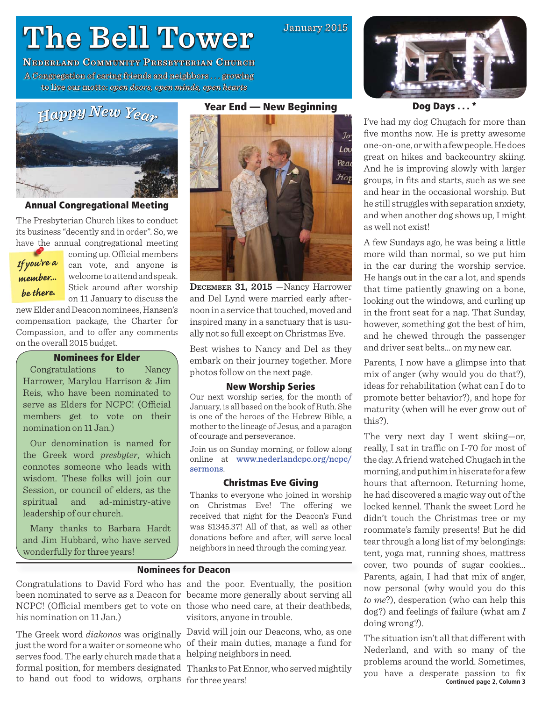# **The Bell Tower he**

**NEDERLAND COMMUNITY PRESBYTERIAN CHURCH** A Congregation of caring friends and neighbors . . . growing to live our motto: motto:*open doors, open minds, open hearts*



# **Annual Congregational Meeting**

The Presbyterian Church likes to conduct its business "decently and in order". So, we have the annual congregational meeting

*If you're a member... be there.*

coming up. Official members can vote, and anyone is welcome to attend and speak. Stick around after worship on 11 January to discuss the

new Elder and Deacon nominees, Hansen's compensation package, the Charter for Compassion, and to offer any comments on the overall 2015 budget.

# **Nominees for Elder**

Congratulations to Nancy Harrower, Marylou Harrison & Jim Reis, who have been nominated to serve as Elders for NCPC! (Official members get to vote on their nomination on 11 Jan.)

Our denomination is named for the Greek word *presbyter*, which connotes someone who leads with wisdom. These folks will join our Session, or council of elders, as the spiritual and ad-ministry-ative leadership of our church.

Many thanks to Barbara Hardt and Jim Hubbard, who have served wonderfully for three years!

# **Year End — New Beginning**

January 2015



**DECEMBER 31, 2015** —Nancy Harrower and Del Lynd were married early afternoon in a service that touched, moved and inspired many in a sanctuary that is usually not so full except on Christmas Eve.

Best wishes to Nancy and Del as they embark on their journey together. More photos follow on the next page.

#### **New Worship Series**

Our next worship series, for the month of January, is all based on the book of Ruth. She is one of the heroes of the Hebrew Bible, a mother to the lineage of Jesus, and a paragon of courage and perseverance.

Join us on Sunday morning, or follow along online at www.nederlandcpc.org/ncpc/ sermons.

### **Christmas Eve Giving**

Thanks to everyone who joined in worship on Christmas Eve! The offering we received that night for the Deacon's Fund was \$1345.37! All of that, as well as other donations before and after, will serve local neighbors in need through the coming year.

# **Nominees for Deacon**

Congratulations to David Ford who has and the poor. Eventually, the position been nominated to serve as a Deacon for became more generally about serving all NCPC! (Official members get to vote on those who need care, at their deathbeds, his nomination on 11 Jan.)

just the word for a waiter or someone who serves food. The early church made that a formal position, for members designated Thanks to Pat Ennor, who served mightily to hand out food to widows, orphans for three years!

visitors, anyone in trouble.

The Greek word *diakonos* was originally David will join our Deacons, who, as one of their main duties, manage a fund for helping neighbors in need.



**Dog Days . . . \*** 

I've had my dog Chugach for more than five months now. He is pretty awesome one-on-one, or with a few people. He does great on hikes and backcountry skiing. And he is improving slowly with larger groups, in fits and starts, such as we see and hear in the occasional worship. But he still struggles with separation anxiety, and when another dog shows up, I might as well not exist!

A few Sundays ago, he was being a little more wild than normal, so we put him in the car during the worship service. He hangs out in the car a lot, and spends that time patiently gnawing on a bone, looking out the windows, and curling up in the front seat for a nap. That Sunday, however, something got the best of him, and he chewed through the passenger and driver seat belts… on my new car.

Parents, I now have a glimpse into that mix of anger (why would you do that?), ideas for rehabilitation (what can I do to promote better behavior?), and hope for maturity (when will he ever grow out of this?).

The very next day I went skiing—or, really, I sat in traffic on I-70 for most of the day. A friend watched Chugach in the morning, and put him in his crate for a few hours that afternoon. Returning home, he had discovered a magic way out of the locked kennel. Thank the sweet Lord he didn't touch the Christmas tree or my roommate's family presents! But he did tear through a long list of my belongings: tent, yoga mat, running shoes, mattress cover, two pounds of sugar cookies… Parents, again, I had that mix of anger, now personal (why would you do this *to me*?), desperation (who can help this dog?) and feelings of failure (what am *I* doing wrong?).

The situation isn't all that different with Nederland, and with so many of the problems around the world. Sometimes, you have a desperate passion to fix **Continued page 2, Column 3**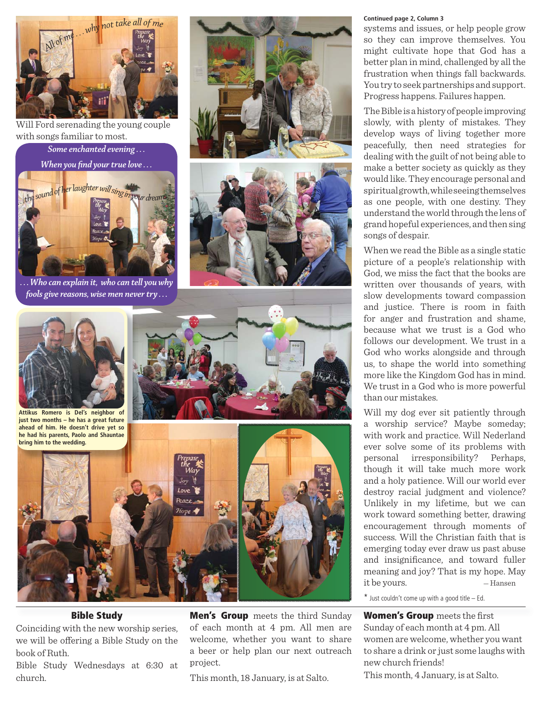

Will Ford serenading the young couple with songs familiar to most.

*Some enchanted evening . . .*

*When you find your true love* ...



*. . . Who can explain it, who can tell you why fools give reasons, wise men never try . . .*







**Attikus Romero is Del's neighbor of just two months – he has a great future ahead of him. He doesn't drive yet so bring him to the wedding.**





# **Bible Study**

Coinciding with the new worship series, we will be offering a Bible Study on the book of Ruth.

Bible Study Wednesdays at 6:30 at church.

**Men's Group** meets the third Sunday of each month at 4 pm. All men are welcome, whether you want to share a beer or help plan our next outreach project.

This month, 18 January, is at Salto.

#### **Continued page 2, Column 3**

systems and issues, or help people grow so they can improve themselves. You might cultivate hope that God has a better plan in mind, challenged by all the frustration when things fall backwards. You try to seek partnerships and support. Progress happens. Failures happen.

The Bible is a history of people improving slowly, with plenty of mistakes. They develop ways of living together more peacefully, then need strategies for dealing with the guilt of not being able to make a better society as quickly as they would like. They encourage personal and spiritual growth, while seeing themselves as one people, with one destiny. They understand the world through the lens of grand hopeful experiences, and then sing songs of despair.

When we read the Bible as a single static picture of a people's relationship with God, we miss the fact that the books are written over thousands of years, with slow developments toward compassion and justice. There is room in faith for anger and frustration and shame, because what we trust is a God who follows our development. We trust in a God who works alongside and through us, to shape the world into something more like the Kingdom God has in mind. We trust in a God who is more powerful than our mistakes.

Will my dog ever sit patiently through a worship service? Maybe someday; with work and practice. Will Nederland ever solve some of its problems with personal irresponsibility? Perhaps, though it will take much more work and a holy patience. Will our world ever destroy racial judgment and violence? Unlikely in my lifetime, but we can work toward something better, drawing encouragement through moments of success. Will the Christian faith that is emerging today ever draw us past abuse and insignificance, and toward fuller meaning and joy? That is my hope. May it be yours. — Hansen

 $*$  Just couldn't come up with a good title  $-$  Ed.

**Women's Group** meets the first Sunday of each month at 4 pm. All women are welcome, whether you want to share a drink or just some laughs with new church friends!

This month, 4 January, is at Salto.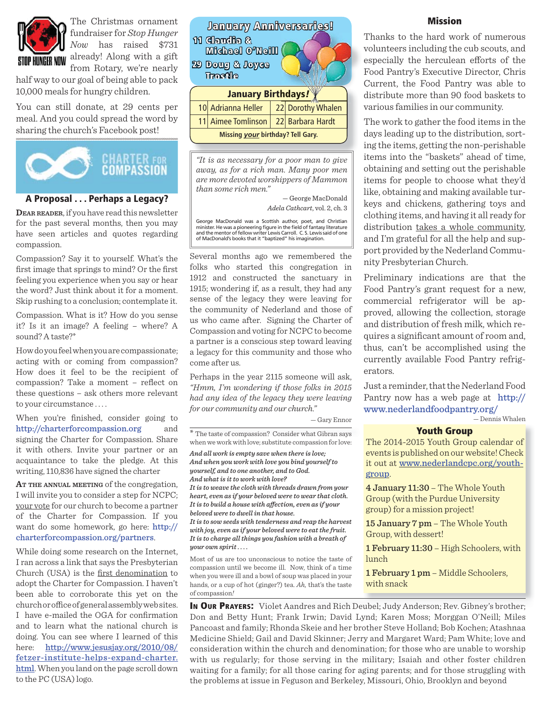

The Christmas ornament fundraiser for *Stop Hunger Now* has raised \$731 **STOP HUNGER NOW** already! Along with a gift from Rotary, we're nearly

half way to our goal of being able to pack 10,000 meals for hungry children.

You can still donate, at 29 cents per meal. And you could spread the word by sharing the church's Facebook post!



### **A Proposal . . . Perhaps a Legacy?**

**DEAR READER**, if you have read this newsletter for the past several months, then you may have seen articles and quotes regarding compassion.

Compassion? Say it to yourself. What's the first image that springs to mind? Or the first feeling you experience when you say or hear the word? Just think about it for a moment. Skip rushing to a conclusion; contemplate it.

Compassion. What is it? How do you sense it? Is it an image? A feeling – where? A sound? A taste?\*

How do you feel when you are compassionate; acting with or coming from compassion? How does it feel to be the recipient of compassion? Take a moment – reflect on these questions – ask others more relevant to your circumstance . . . .

When you're finished, consider going to http://charterforcompassion.org and signing the Charter for Compassion. Share it with others. Invite your partner or an acquaintance to take the pledge. At this writing, 110,836 have signed the charter

**AT THE ANNUAL MEETING** of the congregation, I will invite you to consider a step for NCPC; your vote for our church to become a partner of the Charter for Compassion. If you want do some homework, go here: http:// charterforcompassion.org/partners.

While doing some research on the Internet, I ran across a link that says the Presbyterian Church (USA) is the first denomination to adopt the Charter for Compassion. I haven't been able to corroborate this yet on the church or office of general assembly web sites. I have e-mailed the OGA for confirmation and to learn what the national church is doing. You can see where I learned of this here: http://www.jesusjay.org/2010/08/ fetzer-institute-helps-expand-charter. html. When you land on the page scroll down to the PC (USA) logo.

| <b>January Anniversaries!</b><br>11 Claudia &<br><b>Michael O'Neilli</b><br>29 Doug & Joyce<br>Thostile |                    |  |                   |
|---------------------------------------------------------------------------------------------------------|--------------------|--|-------------------|
| <b>January Birthdays!</b>                                                                               |                    |  |                   |
|                                                                                                         | 10 Adrianna Heller |  | 22 Dorothy Whalen |
|                                                                                                         | 11 Aimee Tomlinson |  | 22 Barbara Hardt  |
| Missing <i>your</i> birthday? Tell Gary.                                                                |                    |  |                   |

*"It is as necessary for a poor man to give away, as for a rich man. Many poor men are more devoted worshippers of Mammon than some rich men."* 

> — George MacDonald *Adela Cathcart*, vol. 2, ch. 3

George MacDonald was a Scottish author, poet, and Christian<br>minister. He was a pioneering figure in the field of fantasy literature and the mentor of fellow writer Lewis Carroll. C. S. Lewis said of one of MacDonald's books that it "baptized" his imagination.

Several months ago we remembered the folks who started this congregation in 1912 and constructed the sanctuary in 1915; wondering if, as a result, they had any sense of the legacy they were leaving for the community of Nederland and those of us who came after. Signing the Charter of Compassion and voting for NCPC to become a partner is a conscious step toward leaving a legacy for this community and those who come after us.

Perhaps in the year 2115 someone will ask, *"Hmm, I'm wondering if those folks in 2015 had any idea of the legacy they were leaving for our community and our church."*

— Gary Ennor

\* The taste of compassion? Consider what Gibran says \* when we work with love; substitute compassion for love:

*And all work is empty save when there is love; And when you work with love you bind yourself to yourself, and to one another, and to God. And what is it to work with love? It is to weave the cloth with threads drawn from your heart, even as if your beloved were to wear that cloth. It is to build a house with aff ection, even as if your beloved were to dwell in that house.* 

*It is to sow seeds with tenderness and reap the harvest with joy, even as if your beloved were to eat the fruit. It is to charge all things you fashion with a breath of your own spirit . . . .*

Most of us are too unconscious to notice the taste of compassion until we become ill. Now, think of a time when you were ill and a bowl of soup was placed in your hands, or a cup of hot (ginger?) tea. *Ah,* that's the taste of compassion*!*

**hdays**<br> **https://wind.com/mission**<br>
Thanks to the hard word<br>
volunteers including the<br>
especially the herculear<br>
Food Pantry's Executive<br>
Current, the Food Pant<br>
distribute more than 90 Thanks to the hard work of numerous volunteers including the cub scouts, and especially the herculean efforts of the Food Pantry's Executive Director, Chris Current, the Food Pantry was able to distribute more than 90 food baskets to various families in our community.

> The work to gather the food items in the days leading up to the distribution, sorting the items, getting the non-perishable items into the "baskets" ahead of time, obtaining and setting out the perishable items for people to choose what they'd like, obtaining and making available turkeys and chickens, gathering toys and clothing items, and having it all ready for distribution takes a whole community, and I'm grateful for all the help and support provided by the Nederland Community Presbyterian Church.

> Preliminary indications are that the Food Pantry's grant request for a new, commercial refrigerator will be approved, allowing the collection, storage and distribution of fresh milk, which requires a significant amount of room and, thus, can't be accomplished using the currently available Food Pantry refrigerators.

> Just a reminder, that the Nederland Food Pantry now has a web page at http:// www.nederlandfoodpantry.org/ — Dennis Whalen

#### **Youth Group**

The 2014-2015 Youth Group calendar of events is published on our website! Check it out at www.nederlandcpc.org/youthgroup.

4 January 11:30 – The Whole Youth Group (with the Purdue University group) for a mission project!

15 January 7 pm – The Whole Youth Group, with dessert!

1 February 11:30 – High Schoolers, with lunch

1 February 1 pm – Middle Schoolers, with snack

In Our Prayers: Violet Aandres and Rich Deubel; Judy Anderson; Rev. Gibney's brother; Don and Betty Hunt; Frank Irwin; David Lynd; Karen Moss; Morggan O'Neill; Miles Pancoast and family; Rhonda Skeie and her brother Steve Holland; Bob Kochen; Atashnaa Medicine Shield; Gail and David Skinner; Jerry and Margaret Ward; Pam White; love and consideration within the church and denomination; for those who are unable to worship with us regularly; for those serving in the military; Isaiah and other foster children waiting for a family; for all those caring for aging parents; and for those struggling with the problems at issue in Feguson and Berkeley, Missouri, Ohio, Brooklyn and beyond